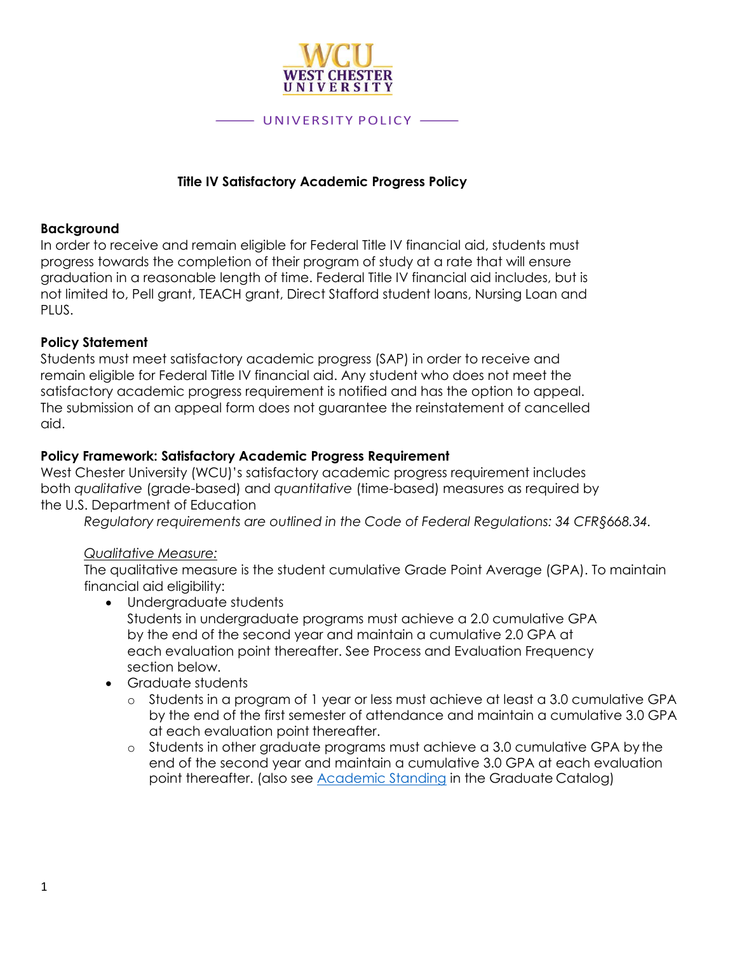

#### **Title IV Satisfactory Academic Progress Policy**

#### **Background**

In order to receive and remain eligible for Federal Title IV financial aid, students must progress towards the completion of their program of study at a rate that will ensure graduation in a reasonable length of time. Federal Title IV financial aid includes, but is not limited to, Pell grant, TEACH grant, Direct Stafford student loans, Nursing Loan and PLUS.

#### **Policy Statement**

Students must meet satisfactory academic progress (SAP) in order to receive and remain eligible for Federal Title IV financial aid. Any student who does not meet the satisfactory academic progress requirement is notified and has the option to appeal. The submission of an appeal form does not guarantee the reinstatement of cancelled aid.

#### **Policy Framework: Satisfactory Academic Progress Requirement**

West Chester University (WCU)'s satisfactory academic progress requirement includes both *qualitative* (grade-based) and *quantitative* (time-based) measures as required by the U.S. Department of Education

*Regulatory requirements are outlined in the Code of Federal Regulations: 34 CFR§668.34.*

#### *Qualitative Measure:*

The qualitative measure is the student cumulative Grade Point Average (GPA). To maintain financial aid eligibility:

- Undergraduate students Students in undergraduate programs must achieve a 2.0 cumulative GPA by the end of the second year and maintain a cumulative 2.0 GPA at each evaluation point thereafter. See Process and Evaluation Frequency section below.
- Graduate students
	- o Students in a program of 1 year or less must achieve at least a 3.0 cumulative GPA by the end of the first semester of attendance and maintain a cumulative 3.0 GPA at each evaluation point thereafter.
	- o Students in other graduate programs must achieve a 3.0 cumulative GPA by the end of the second year and maintain a cumulative 3.0 GPA at each evaluation point thereafter. (also see [Academic Standing](https://catalog.wcupa.edu/graduate/academic-policies-procedures/academic-standing/) in the Graduate Catalog)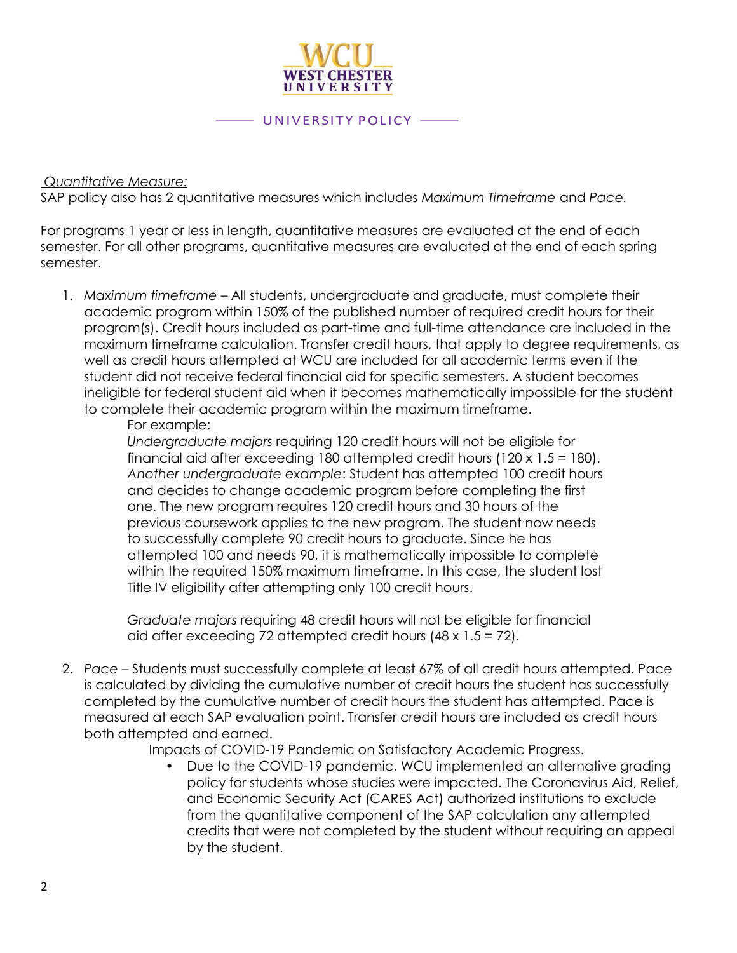

#### *Quantitative Measure:*

SAP policy also has 2 quantitative measures which includes *Maximum Timeframe* and *Pace.*

For programs 1 year or less in length, quantitative measures are evaluated at the end of each semester. For all other programs, quantitative measures are evaluated at the end of each spring semester.

1. *Maximum timeframe* – All students, undergraduate and graduate, must complete their academic program within 150% of the published number of required credit hours for their program(s). Credit hours included as part-time and full-time attendance are included in the maximum timeframe calculation. Transfer credit hours, that apply to degree requirements, as well as credit hours attempted at WCU are included for all academic terms even if the student did not receive federal financial aid for specific semesters. A student becomes ineligible for federal student aid when it becomes mathematically impossible for the student to complete their academic program within the maximum timeframe.

#### For example:

*Undergraduate majors* requiring 120 credit hours will not be eligible for financial aid after exceeding 180 attempted credit hours (120 x 1.5 = 180). *Another undergraduate example*: Student has attempted 100 credit hours and decides to change academic program before completing the first one. The new program requires 120 credit hours and 30 hours of the previous coursework applies to the new program. The student now needs to successfully complete 90 credit hours to graduate. Since he has attempted 100 and needs 90, it is mathematically impossible to complete within the required 150% maximum timeframe. In this case, the student lost Title IV eligibility after attempting only 100 credit hours.

*Graduate majors* requiring 48 credit hours will not be eligible for financial aid after exceeding 72 attempted credit hours  $(48 \times 1.5 = 72)$ .

2. *Pace* – Students must successfully complete at least 67% of all credit hours attempted. Pace is calculated by dividing the cumulative number of credit hours the student has successfully completed by the cumulative number of credit hours the student has attempted. Pace is measured at each SAP evaluation point. Transfer credit hours are included as credit hours both attempted and earned.

Impacts of COVID-19 Pandemic on Satisfactory Academic Progress.

• Due to the COVID-19 pandemic, WCU implemented an alternative grading policy for students whose studies were impacted. The Coronavirus Aid, Relief, and Economic Security Act (CARES Act) authorized institutions to exclude from the quantitative component of the SAP calculation any attempted credits that were not completed by the student without requiring an appeal by the student.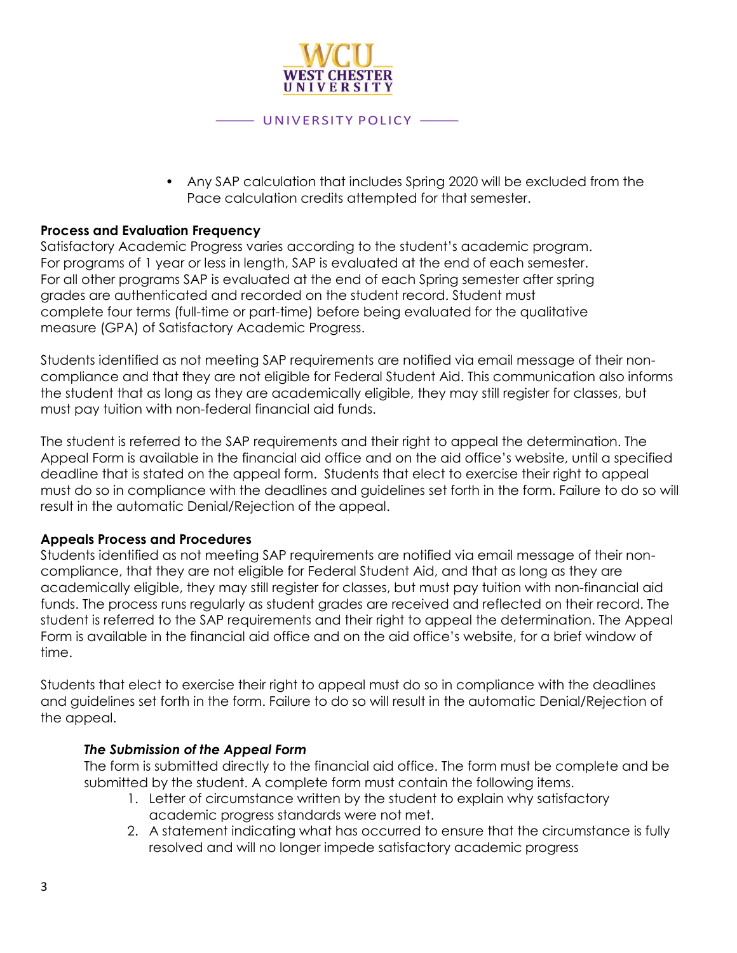

# • Any SAP calculation that includes Spring 2020 will be excluded from the

Pace calculation credits attempted for that semester.

#### **Process and Evaluation Frequency**

Satisfactory Academic Progress varies according to the student's academic program. For programs of 1 year or less in length, SAP is evaluated at the end of each semester. For all other programs SAP is evaluated at the end of each Spring semester after spring grades are authenticated and recorded on the student record. Student must complete four terms (full-time or part-time) before being evaluated for the qualitative measure (GPA) of Satisfactory Academic Progress.

Students identified as not meeting SAP requirements are notified via email message of their noncompliance and that they are not eligible for Federal Student Aid. This communication also informs the student that as long as they are academically eligible, they may still register for classes, but must pay tuition with non-federal financial aid funds.

The student is referred to the SAP requirements and their right to appeal the determination. The Appeal Form is available in the financial aid office and on the aid office's website, until a specified deadline that is stated on the appeal form. Students that elect to exercise their right to appeal must do so in compliance with the deadlines and guidelines set forth in the form. Failure to do so will result in the automatic Denial/Rejection of the appeal.

#### **Appeals Process and Procedures**

Students identified as not meeting SAP requirements are notified via email message of their noncompliance, that they are not eligible for Federal Student Aid, and that as long as they are academically eligible, they may still register for classes, but must pay tuition with non-financial aid funds. The process runs regularly as student grades are received and reflected on their record. The student is referred to the SAP requirements and their right to appeal the determination. The Appeal Form is available in the financial aid office and on the aid office's website, for a brief window of time.

Students that elect to exercise their right to appeal must do so in compliance with the deadlines and guidelines set forth in the form. Failure to do so will result in the automatic Denial/Rejection of the appeal.

#### *The Submission of the Appeal Form*

The form is submitted directly to the financial aid office. The form must be complete and be submitted by the student. A complete form must contain the following items.

- 1. Letter of circumstance written by the student to explain why satisfactory academic progress standards were not met.
- 2. A statement indicating what has occurred to ensure that the circumstance is fully resolved and will no longer impede satisfactory academic progress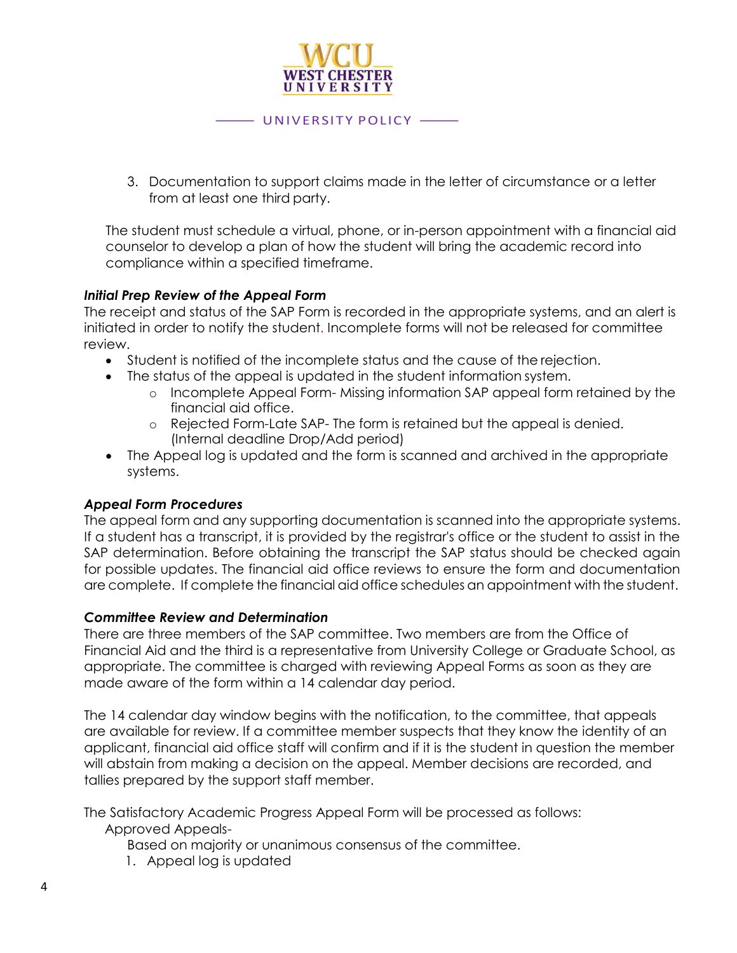

3. Documentation to support claims made in the letter of circumstance or a letter from at least one third party.

The student must schedule a virtual, phone, or in-person appointment with a financial aid counselor to develop a plan of how the student will bring the academic record into compliance within a specified timeframe.

#### *Initial Prep Review of the Appeal Form*

The receipt and status of the SAP Form is recorded in the appropriate systems, and an alert is initiated in order to notify the student. Incomplete forms will not be released for committee review.

- Student is notified of the incomplete status and the cause of the rejection.
- The status of the appeal is updated in the student information system.
	- o Incomplete Appeal Form- Missing information SAP appeal form retained by the financial aid office.
	- o Rejected Form-Late SAP- The form is retained but the appeal is denied. (Internal deadline Drop/Add period)
- The Appeal log is updated and the form is scanned and archived in the appropriate systems.

#### *Appeal Form Procedures*

The appeal form and any supporting documentation is scanned into the appropriate systems. If a student has a transcript, it is provided by the registrar's office or the student to assist in the SAP determination. Before obtaining the transcript the SAP status should be checked again for possible updates. The financial aid office reviews to ensure the form and documentation are complete. If complete the financial aid office schedules an appointment with the student.

#### *Committee Review and Determination*

There are three members of the SAP committee. Two members are from the Office of Financial Aid and the third is a representative from University College or Graduate School, as appropriate. The committee is charged with reviewing Appeal Forms as soon as they are made aware of the form within a 14 calendar day period.

The 14 calendar day window begins with the notification, to the committee, that appeals are available for review. If a committee member suspects that they know the identity of an applicant, financial aid office staff will confirm and if it is the student in question the member will abstain from making a decision on the appeal. Member decisions are recorded, and tallies prepared by the support staff member.

The Satisfactory Academic Progress Appeal Form will be processed as follows:

Approved Appeals-

Based on majority or unanimous consensus of the committee.

1. Appeal log is updated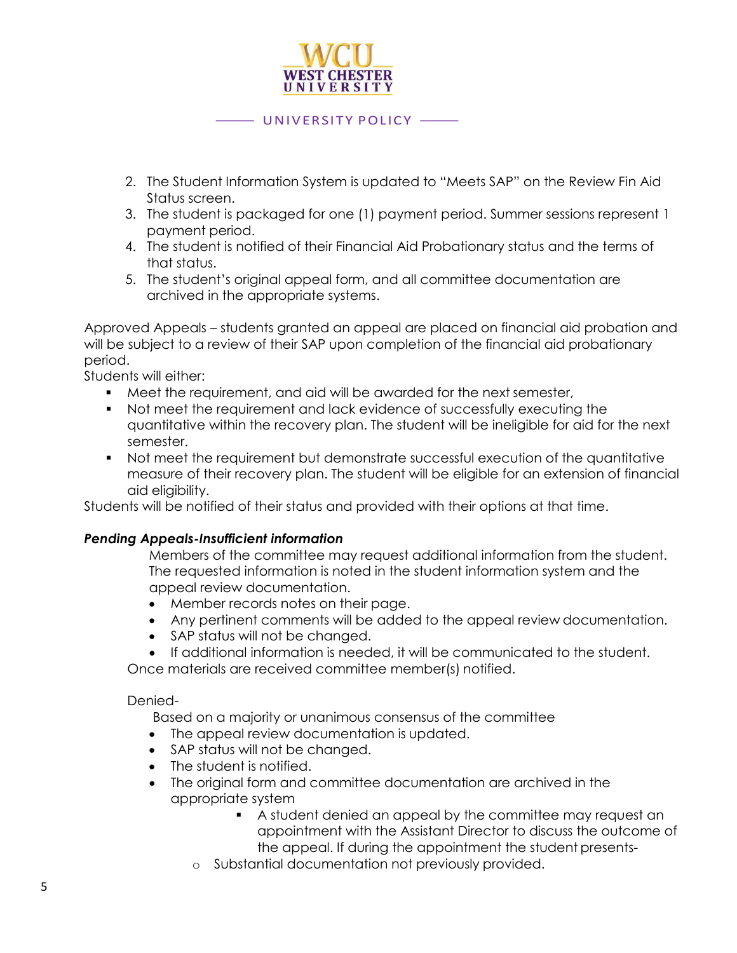

- 2. The Student Information System is updated to "Meets SAP" on the Review Fin Aid Status screen.
- 3. The student is packaged for one (1) payment period. Summer sessions represent 1 payment period.
- 4. The student is notified of their Financial Aid Probationary status and the terms of that status.
- 5. The student's original appeal form, and all committee documentation are archived in the appropriate systems.

Approved Appeals – students granted an appeal are placed on financial aid probation and will be subject to a review of their SAP upon completion of the financial aid probationary period.

Students will either:

- Meet the requirement, and aid will be awarded for the next semester,
- Not meet the requirement and lack evidence of successfully executing the quantitative within the recovery plan. The student will be ineligible for aid for the next semester.
- Not meet the requirement but demonstrate successful execution of the quantitative measure of their recovery plan. The student will be eligible for an extension of financial aid eligibility.

Students will be notified of their status and provided with their options at that time.

#### *Pending Appeals-Insufficient information*

Members of the committee may request additional information from the student. The requested information is noted in the student information system and the appeal review documentation.

- Member records notes on their page.
- Any pertinent comments will be added to the appeal review documentation.
- SAP status will not be changed.
- If additional information is needed, it will be communicated to the student.

Once materials are received committee member(s) notified.

#### Denied-

Based on a majority or unanimous consensus of the committee

- The appeal review documentation is updated.
- SAP status will not be changed.
- The student is notified.
- The original form and committee documentation are archived in the appropriate system
	- A student denied an appeal by the committee may request an appointment with the Assistant Director to discuss the outcome of the appeal. If during the appointment the student presents-
	- o Substantial documentation not previously provided.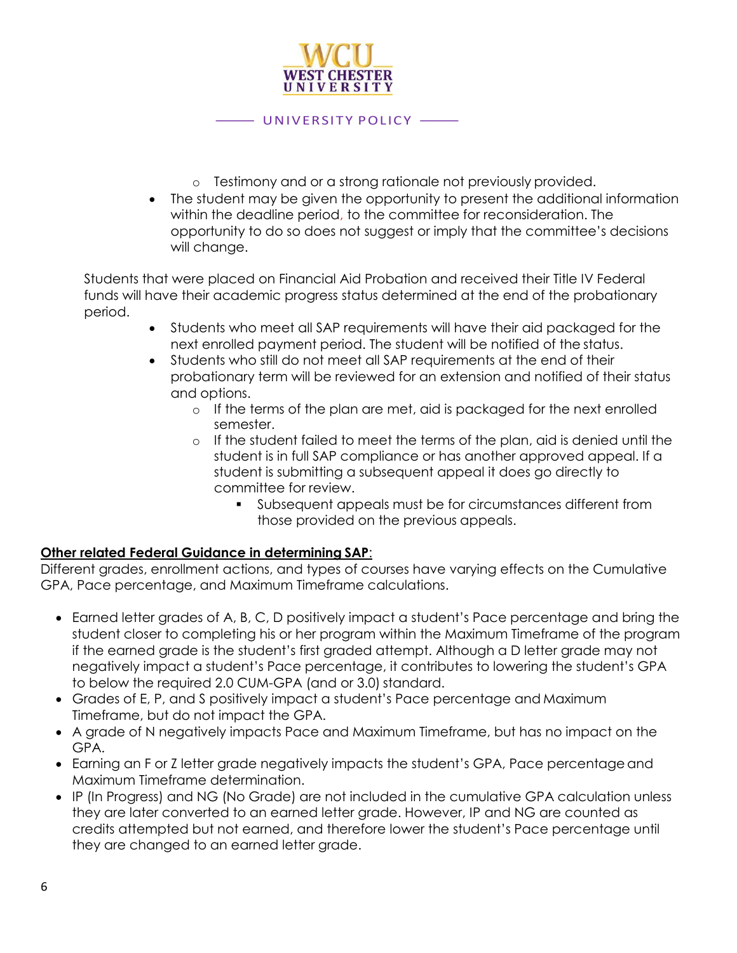

- o Testimony and or a strong rationale not previously provided.
- The student may be given the opportunity to present the additional information within the deadline period, to the committee for reconsideration. The opportunity to do so does not suggest or imply that the committee's decisions will change.

Students that were placed on Financial Aid Probation and received their Title IV Federal funds will have their academic progress status determined at the end of the probationary period.

- Students who meet all SAP requirements will have their aid packaged for the next enrolled payment period. The student will be notified of the status.
- Students who still do not meet all SAP requirements at the end of their probationary term will be reviewed for an extension and notified of their status and options.
	- $\circ$  If the terms of the plan are met, aid is packaged for the next enrolled semester.
	- o If the student failed to meet the terms of the plan, aid is denied until the student is in full SAP compliance or has another approved appeal. If a student is submitting a subsequent appeal it does go directly to committee for review.
		- Subsequent appeals must be for circumstances different from those provided on the previous appeals.

#### **Other related Federal Guidance in determining SAP**:

Different grades, enrollment actions, and types of courses have varying effects on the Cumulative GPA, Pace percentage, and Maximum Timeframe calculations.

- Earned letter grades of A, B, C, D positively impact a student's Pace percentage and bring the student closer to completing his or her program within the Maximum Timeframe of the program if the earned grade is the student's first graded attempt. Although a D letter grade may not negatively impact a student's Pace percentage, it contributes to lowering the student's GPA to below the required 2.0 CUM-GPA (and or 3.0) standard.
- Grades of E, P, and S positively impact a student's Pace percentage and Maximum Timeframe, but do not impact the GPA.
- A grade of N negatively impacts Pace and Maximum Timeframe, but has no impact on the GPA.
- Earning an F or Z letter grade negatively impacts the student's GPA, Pace percentage and Maximum Timeframe determination.
- IP (In Progress) and NG (No Grade) are not included in the cumulative GPA calculation unless they are later converted to an earned letter grade. However, IP and NG are counted as credits attempted but not earned, and therefore lower the student's Pace percentage until they are changed to an earned letter grade.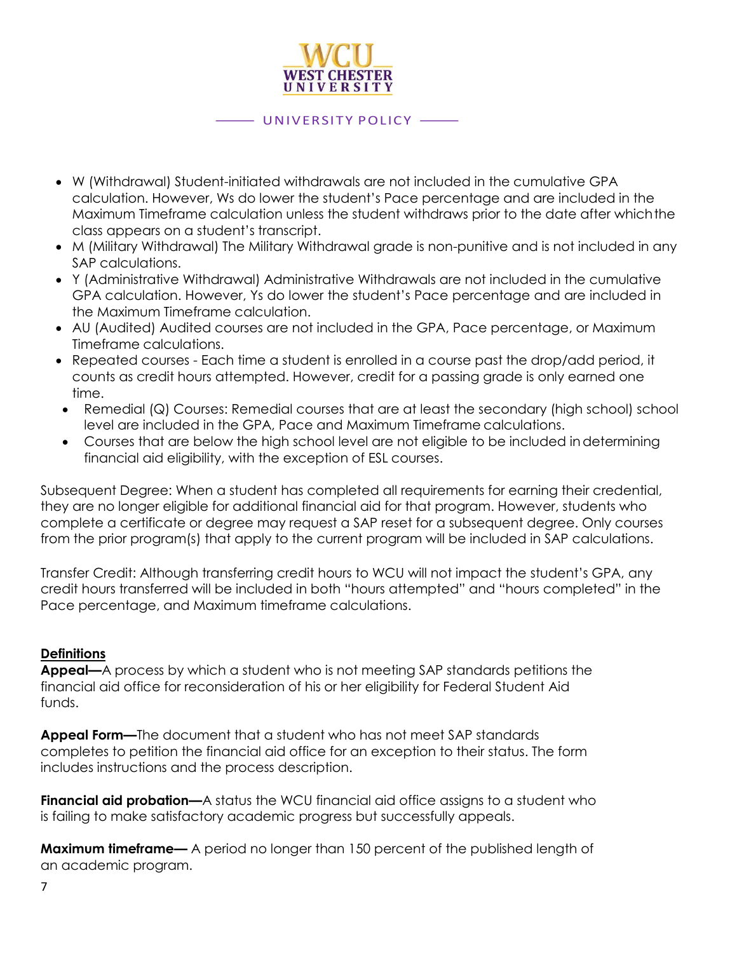

- W (Withdrawal) Student-initiated withdrawals are not included in the cumulative GPA calculation. However, Ws do lower the student's Pace percentage and are included in the Maximum Timeframe calculation unless the student withdraws prior to the date after whichthe class appears on a student's transcript.
- M (Military Withdrawal) The Military Withdrawal grade is non-punitive and is not included in any SAP calculations.
- Y (Administrative Withdrawal) Administrative Withdrawals are not included in the cumulative GPA calculation. However, Ys do lower the student's Pace percentage and are included in the Maximum Timeframe calculation.
- AU (Audited) Audited courses are not included in the GPA, Pace percentage, or Maximum Timeframe calculations.
- Repeated courses Each time a student is enrolled in a course past the drop/add period, it counts as credit hours attempted. However, credit for a passing grade is only earned one time.
- Remedial (Q) Courses: Remedial courses that are at least the secondary (high school) school level are included in the GPA, Pace and Maximum Timeframe calculations.
- Courses that are below the high school level are not eligible to be included indetermining financial aid eligibility, with the exception of ESL courses.

Subsequent Degree: When a student has completed all requirements for earning their credential, they are no longer eligible for additional financial aid for that program. However, students who complete a certificate or degree may request a SAP reset for a subsequent degree. Only courses from the prior program(s) that apply to the current program will be included in SAP calculations.

Transfer Credit: Although transferring credit hours to WCU will not impact the student's GPA, any credit hours transferred will be included in both "hours attempted" and "hours completed" in the Pace percentage, and Maximum timeframe calculations.

#### **Definitions**

**Appeal—**A process by which a student who is not meeting SAP standards petitions the financial aid office for reconsideration of his or her eligibility for Federal Student Aid funds.

**Appeal Form—**The document that a student who has not meet SAP standards completes to petition the financial aid office for an exception to their status. The form includes instructions and the process description.

**Financial aid probation—**A status the WCU financial aid office assigns to a student who is failing to make satisfactory academic progress but successfully appeals.

**Maximum timeframe—** A period no longer than 150 percent of the published length of an academic program.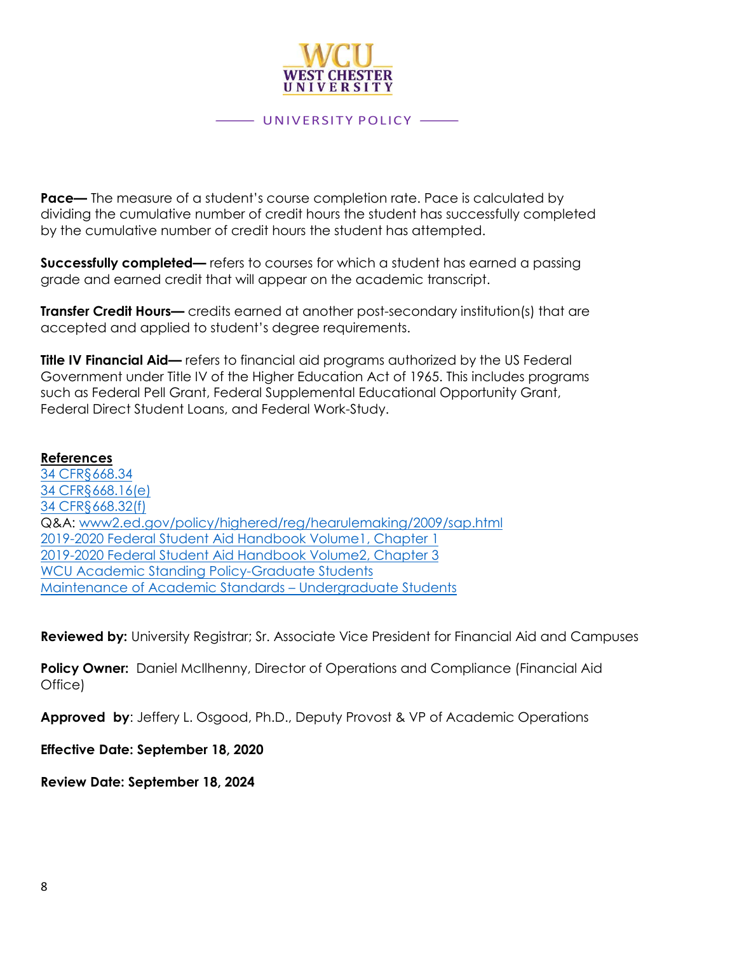

**Pace—** The measure of a student's course completion rate. Pace is calculated by dividing the cumulative number of credit hours the student has successfully completed by the cumulative number of credit hours the student has attempted.

**Successfully completed—** refers to courses for which a student has earned a passing grade and earned credit that will appear on the academic transcript.

**Transfer Credit Hours—** credits earned at another post-secondary institution(s) that are accepted and applied to student's degree requirements.

**Title IV Financial Aid—** refers to financial aid programs authorized by the US Federal Government under Title IV of the Higher Education Act of 1965. This includes programs such as Federal Pell Grant, Federal Supplemental Educational Opportunity Grant, Federal Direct Student Loans, and Federal Work-Study.

#### **References**

[34 CFR§668.34](https://ecfr.io/Title-34/Section-668.34) [34 CFR§668.16\(e\)](https://www.ecfr.gov/cgi-bin/text-idx?SID=710f777d3ee6e728e9bee79a99055df4&mc=true&node=se34.3.668_116&rgn=div8) [34 CFR§668.32\(f\)](https://www.ecfr.gov/cgi-bin/text-idx?SID=710f777d3ee6e728e9bee79a99055df4&mc=true&node=se34.3.668_132&rgn=div8) Q&A: [www2.ed.gov/policy/highered/reg/hearulemaking/2009/sap.html](file:///C:/Users/75KHOWLEY2/AppData/Local/Microsoft/Windows/INetCache/Content.Outlook/OJ5C2X4Y/www2.ed.gov/policy/highered/reg/hearulemaking/2009/sap.html) [2019-2020 Federal Student Aid Handbook Volume1, Chapter 1](https://ifap.ed.gov/sites/default/files/attachments/2019-08/1920FSAHbkVol1Ch1.pdf) [2019-2020 Federal Student Aid Handbook Volume2, Chapter 3](https://ifap.ed.gov/sites/default/files/attachments/2020-01/1920FSAHbkVol2Ch3.pdf) [WCU Academic Standing Policy-Graduate Students](https://catalog.wcupa.edu/graduate/academic-policies-procedures/academic-standing/) [Maintenance of Academic Standards](https://catalog.wcupa.edu/undergraduate/academic-policies-procedures/maintenance-academic-standards/) – Undergraduate Students

**Reviewed by:** University Registrar; Sr. Associate Vice President for Financial Aid and Campuses

**Policy Owner:** Daniel McIlhenny, Director of Operations and Compliance (Financial Aid Office)

**Approved by**: Jeffery L. Osgood, Ph.D., Deputy Provost & VP of Academic Operations

**Effective Date: September 18, 2020**

**Review Date: September 18, 2024**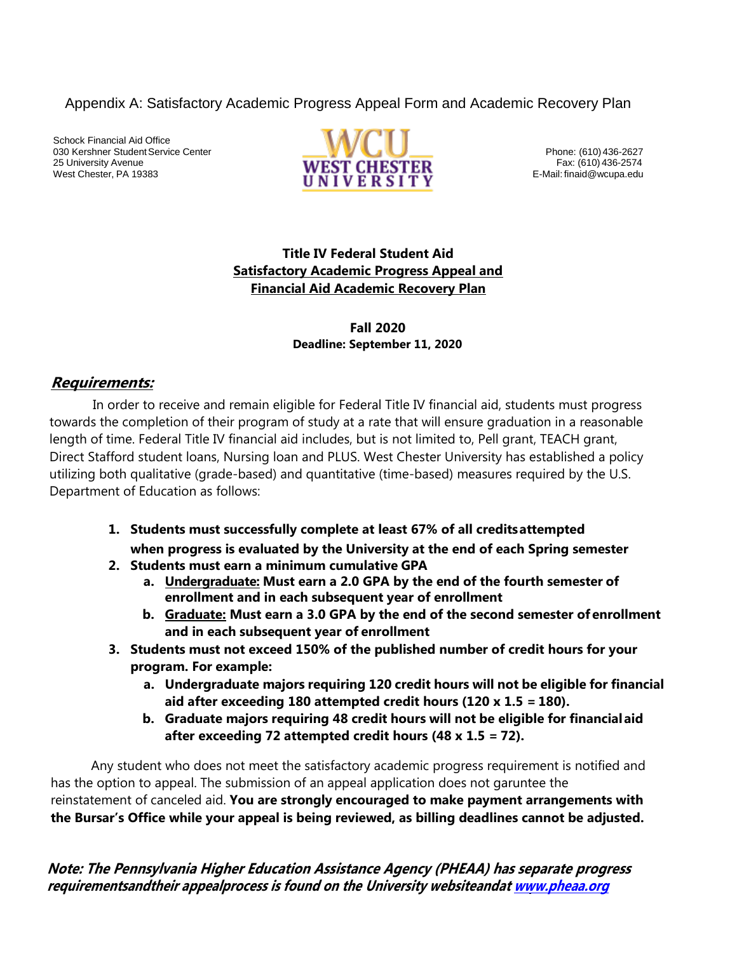Appendix A: Satisfactory Academic Progress Appeal Form and Academic Recovery Plan

Schock Financial Aid Office 030 Kershner Student Service Center Phone: (610) 436-2627 25 University Avenue **Fax: (610) 436-2574 TALLICAL CONTRACT CLIECTED** Fax: (610) 436-2574 West Chester, PA 19383 **E-Mail: final design and E-Mail: final design and E-Mail: final design and E-Mail: final design and E-Mail: final develope.edu** 



## **Title IV Federal Student Aid Satisfactory Academic Progress Appeal and Financial Aid Academic Recovery Plan**

#### **Fall 2020 Deadline: September 11, 2020**

## **Requirements:**

In order to receive and remain eligible for Federal Title IV financial aid, students must progress towards the completion of their program of study at a rate that will ensure graduation in a reasonable length of time. Federal Title IV financial aid includes, but is not limited to, Pell grant, TEACH grant, Direct Stafford student loans, Nursing loan and PLUS. West Chester University has established a policy utilizing both qualitative (grade-based) and quantitative (time-based) measures required by the U.S. Department of Education as follows:

- **1. Students must successfully complete at least 67% of all creditsattempted when progress is evaluated by the University at the end of each Spring semester**
- **2. Students must earn a minimum cumulative GPA**
	- **a. Undergraduate: Must earn a 2.0 GPA by the end of the fourth semester of enrollment and in each subsequent year of enrollment**
	- **b. Graduate: Must earn a 3.0 GPA by the end of the second semester of enrollment and in each subsequent year of enrollment**
- **3. Students must not exceed 150% of the published number of credit hours for your program. For example:**
	- **a. Undergraduate majors requiring 120 credit hours will not be eligible for financial aid after exceeding 180 attempted credit hours (120 x 1.5 = 180).**
	- **b. Graduate majors requiring 48 credit hours will not be eligible for financialaid after exceeding 72 attempted credit hours (48 x 1.5 = 72).**

Any student who does not meet the satisfactory academic progress requirement is notified and has the option to appeal. The submission of an appeal application does not garuntee the reinstatement of canceled aid. **You are strongly encouraged to make payment arrangements with the Bursar's Office while your appeal is being reviewed, as billing deadlines cannot be adjusted.**

**Note: The Pennsylvania Higher Education Assistance Agency (PHEAA) has separate progress requirementsandtheir appealprocess is found on the University websitean[dat www.pheaa.org](http://www.pheaa.org/)**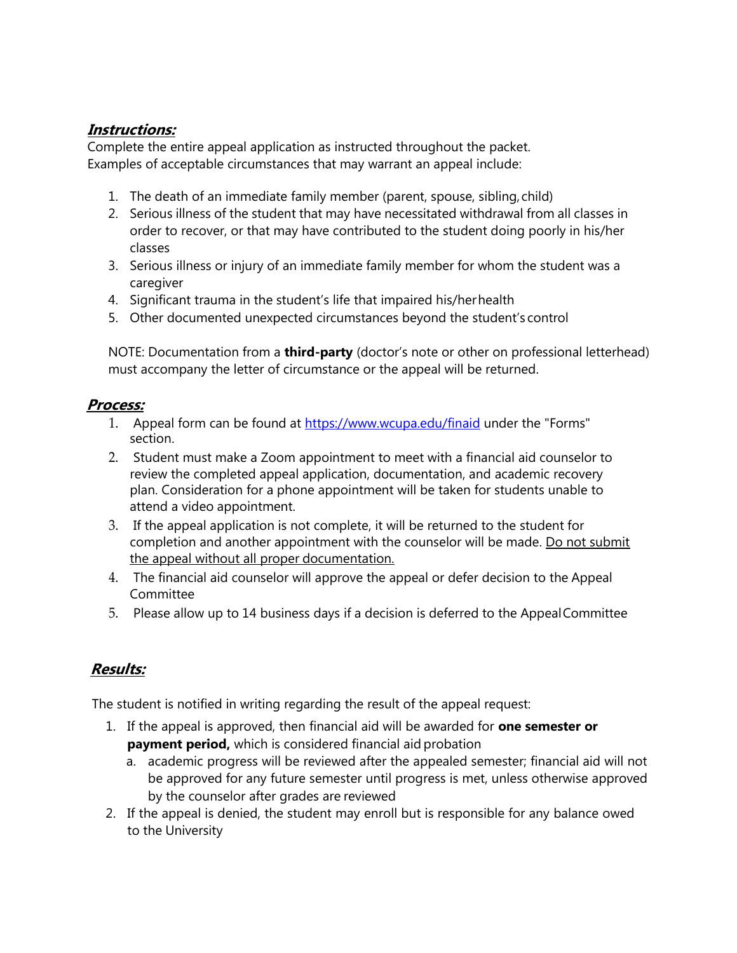## **Instructions:**

Complete the entire appeal application as instructed throughout the packet. Examples of acceptable circumstances that may warrant an appeal include:

- 1. The death of an immediate family member (parent, spouse, sibling,child)
- 2. Serious illness of the student that may have necessitated withdrawal from all classes in order to recover, or that may have contributed to the student doing poorly in his/her classes
- 3. Serious illness or injury of an immediate family member for whom the student was a caregiver
- 4. Significant trauma in the student's life that impaired his/herhealth
- 5. Other documented unexpected circumstances beyond the student's control

NOTE: Documentation from a **third-party** (doctor's note or other on professional letterhead) must accompany the letter of circumstance or the appeal will be returned.

## **Process:**

- 1. Appeal form can be found at [https://www.wcupa.edu/finaid](https://www.wcupa.edu/_SERVICES/FIN_AID/) under the ["](https://www.wcupa.edu/_SERVICES/FIN_AID/)Forms" [section.](https://www.wcupa.edu/_SERVICES/FIN_AID/)
- 2. Student must make a Zoom appointment to meet with a financial aid counselor to review the completed appeal application, documentation, and academic recovery plan. Consideration for a phone appointment will be taken for students unable to attend a video appointment.
- 3. If the appeal application is not complete, it will be returned to the student for completion and another appointment with the counselor will be made. Do not submit the appeal without all proper documentation.
- 4. The financial aid counselor will approve the appeal or defer decision to the Appeal Committee
- 5. Please allow up to 14 business days if a decision is deferred to the AppealCommittee

## **Results:**

The student is notified in writing regarding the result of the appeal request:

- 1. If the appeal is approved, then financial aid will be awarded for **one semester or payment period,** which is considered financial aid probation
	- a. academic progress will be reviewed after the appealed semester; financial aid will not be approved for any future semester until progress is met, unless otherwise approved by the counselor after grades are reviewed
- 2. If the appeal is denied, the student may enroll but is responsible for any balance owed to the University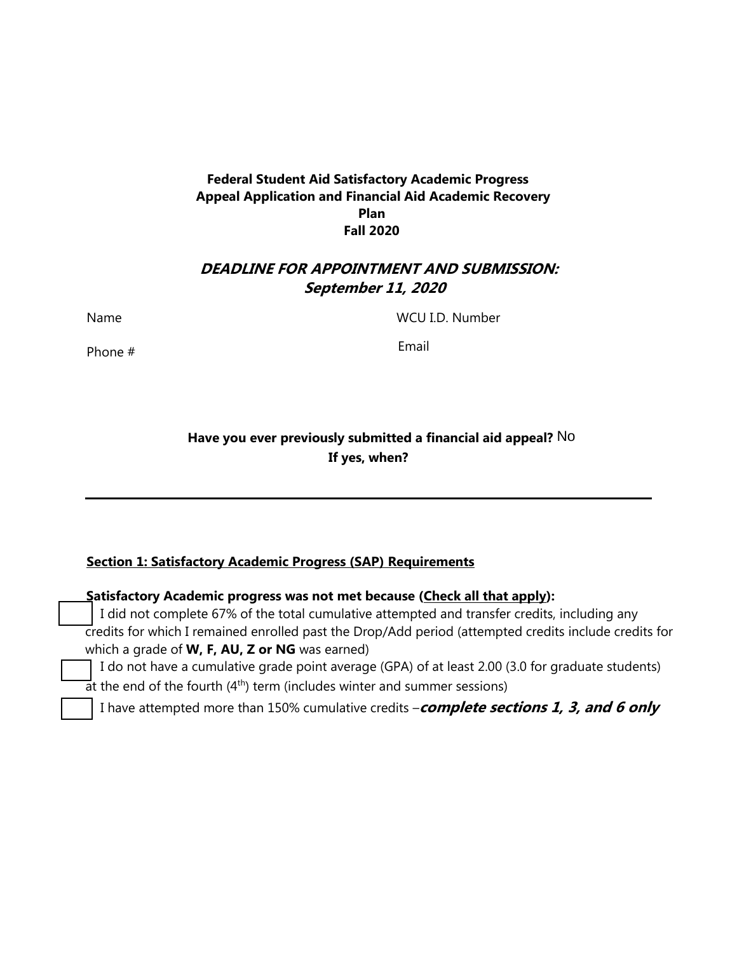#### **Federal Student Aid Satisfactory Academic Progress Appeal Application and Financial Aid Academic Recovery Plan Fall 2020**

## **DEADLINE FOR APPOINTMENT AND SUBMISSION: September 11, 2020**

Name

Phone #

WCU I.D. Number

Email

## **Have you ever previously submitted a financial aid appeal?** No **If yes, when?**

### **Section 1: Satisfactory Academic Progress (SAP) Requirements**

| Satisfactory Academic progress was not met because (Check all that apply):                            |  |
|-------------------------------------------------------------------------------------------------------|--|
| I did not complete 67% of the total cumulative attempted and transfer credits, including any          |  |
| credits for which I remained enrolled past the Drop/Add period (attempted credits include credits for |  |
| which a grade of W, F, AU, Z or NG was earned)                                                        |  |
| I do not have a cumulative grade point average (GPA) of at least 2.00 (3.0 for graduate students)     |  |
| $\overline{a}$ t the end of the fourth (4 <sup>th</sup> ) term (includes winter and summer sessions)  |  |
| I have attempted more than 150% cumulative credits $-\textit{complete sections 1, 3, and 6 only}$     |  |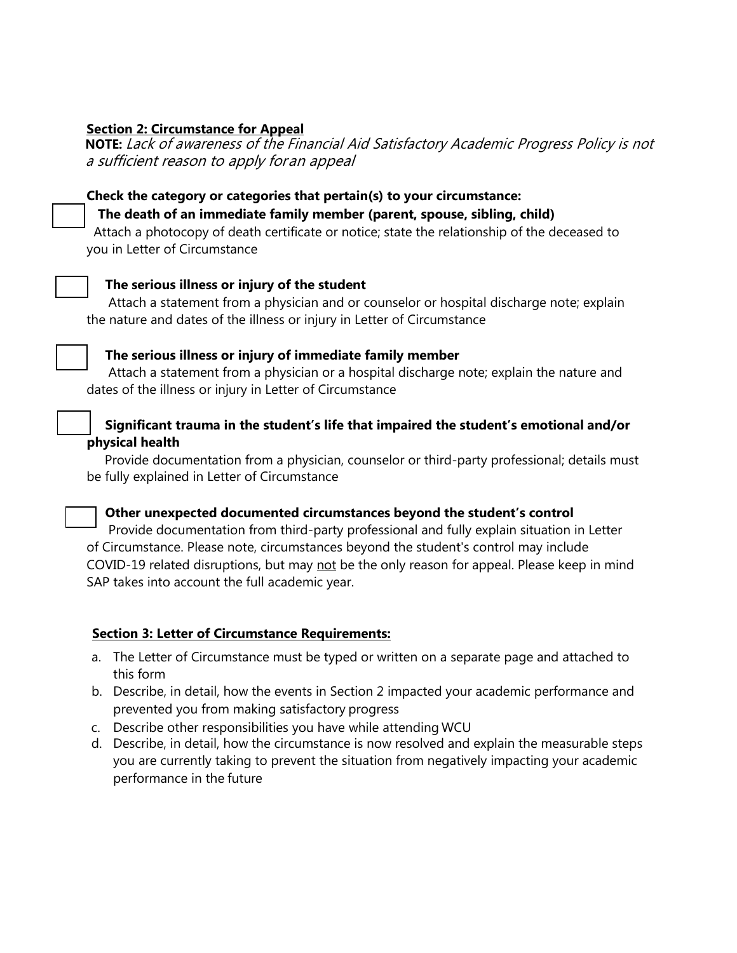#### **Section 2: Circumstance for Appeal**

**NOTE:** Lack of awareness of the Financial Aid Satisfactory Academic Progress Policy is not a sufficient reason to apply foran appeal

#### **Check the category or categories that pertain(s) to your circumstance:**

#### **The death of an immediate family member (parent, spouse, sibling, child)**

Attach a photocopy of death certificate or notice; state the relationship of the deceased to you in Letter of Circumstance

#### **The serious illness or injury of the student**

Attach a statement from a physician and or counselor or hospital discharge note; explain the nature and dates of the illness or injury in Letter of Circumstance



#### **The serious illness or injury of immediate family member**

Attach a statement from a physician or a hospital discharge note; explain the nature and dates of the illness or injury in Letter of Circumstance

#### **Significant trauma in the student's life that impaired the student's emotional and/or physical health**

Provide documentation from a physician, counselor or third-party professional; details must be fully explained in Letter of Circumstance

**Other unexpected documented circumstances beyond the student's control** Provide documentation from third-party professional and fully explain situation in Letter of Circumstance. Please note, circumstances beyond the student's control may include

COVID-19 related disruptions, but may not be the only reason for appeal. Please keep in mind SAP takes into account the full academic year.

#### **Section 3: Letter of Circumstance Requirements:**

- a. The Letter of Circumstance must be typed or written on a separate page and attached to this form
- b. Describe, in detail, how the events in Section 2 impacted your academic performance and prevented you from making satisfactory progress
- c. Describe other responsibilities you have while attending WCU
- d. Describe, in detail, how the circumstance is now resolved and explain the measurable steps you are currently taking to prevent the situation from negatively impacting your academic performance in the future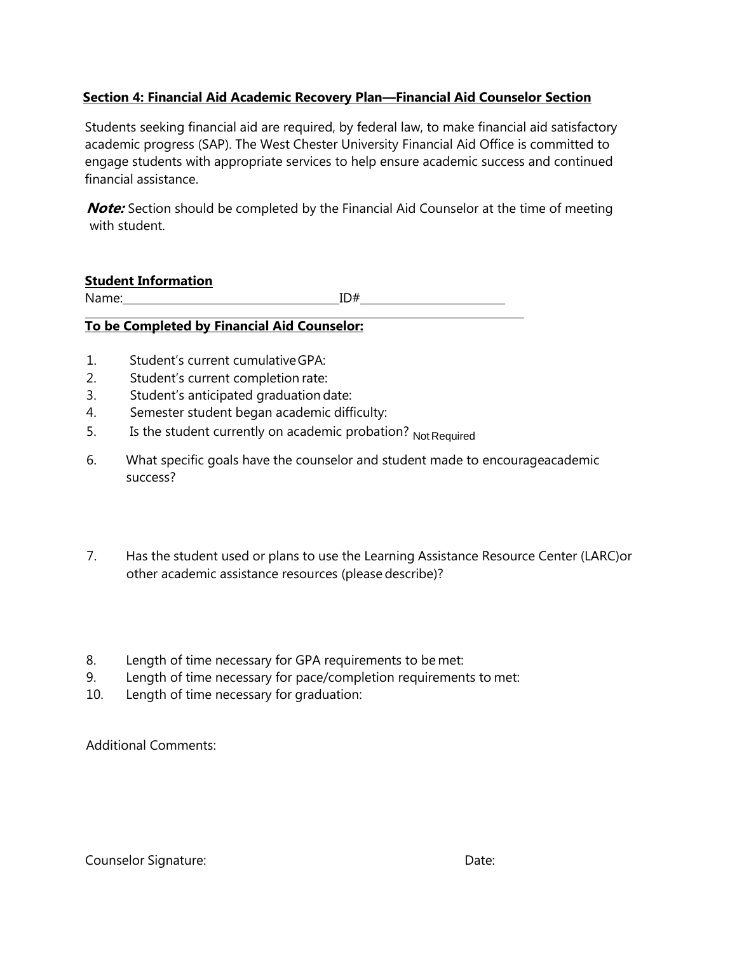## **Section 4: Financial Aid Academic Recovery Plan—Financial Aid Counselor Section**

Students seeking financial aid are required, by federal law, to make financial aid satisfactory academic progress (SAP). The West Chester University Financial Aid Office is committed to engage students with appropriate services to help ensure academic success and continued financial assistance.

**Note:** Section should be completed by the Financial Aid Counselor at the time of meeting with student.

#### **Student Information**

Name: ID#

## **To be Completed by Financial Aid Counselor:**

- 1. Student's current cumulativeGPA:
- 2. Student's current completion rate:
- 3. Student's anticipated graduation date:
- 4. Semester student began academic difficulty:
- 5. Is the student currently on academic probation? Not Required
- 6. What specific goals have the counselor and student made to encourageacademic success?
- 7. Has the student used or plans to use the Learning Assistance Resource Center (LARC)or other academic assistance resources (please describe)?
- 8. Length of time necessary for GPA requirements to be met:
- 9. Length of time necessary for pace/completion requirements to met:
- 10. Length of time necessary for graduation:

Additional Comments: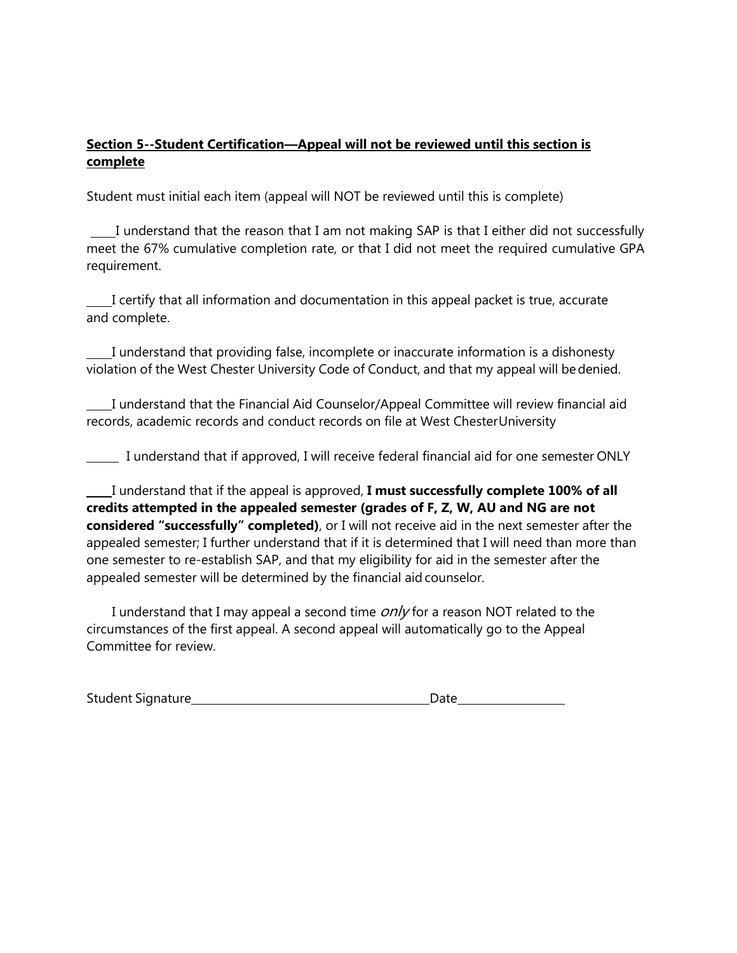### **Section 5--Student Certification—Appeal will not be reviewed until this section is complete**

Student must initial each item (appeal will NOT be reviewed until this is complete)

 I understand that the reason that I am not making SAP is that I either did not successfully meet the 67% cumulative completion rate, or that I did not meet the required cumulative GPA requirement.

I certify that all information and documentation in this appeal packet is true, accurate and complete.

I understand that providing false, incomplete or inaccurate information is a dishonesty violation of the West Chester University Code of Conduct, and that my appeal will bedenied.

I understand that the Financial Aid Counselor/Appeal Committee will review financial aid records, academic records and conduct records on file at West ChesterUniversity

I understand that if approved, I will receive federal financial aid for one semester ONLY

I understand that if the appeal is approved, **I must successfully complete 100% of all credits attempted in the appealed semester (grades of F, Z, W, AU and NG are not considered "successfully" completed)**, or I will not receive aid in the next semester after the appealed semester; I further understand that if it is determined that I will need than more than one semester to re-establish SAP, and that my eligibility for aid in the semester after the appealed semester will be determined by the financial aidcounselor.

I understand that I may appeal a second time  $\frac{\partial n}{\partial r}$  for a reason NOT related to the circumstances of the first appeal. A second appeal will automatically go to the Appeal Committee for review.

| <b>Student Signature</b> | Date |
|--------------------------|------|
|--------------------------|------|